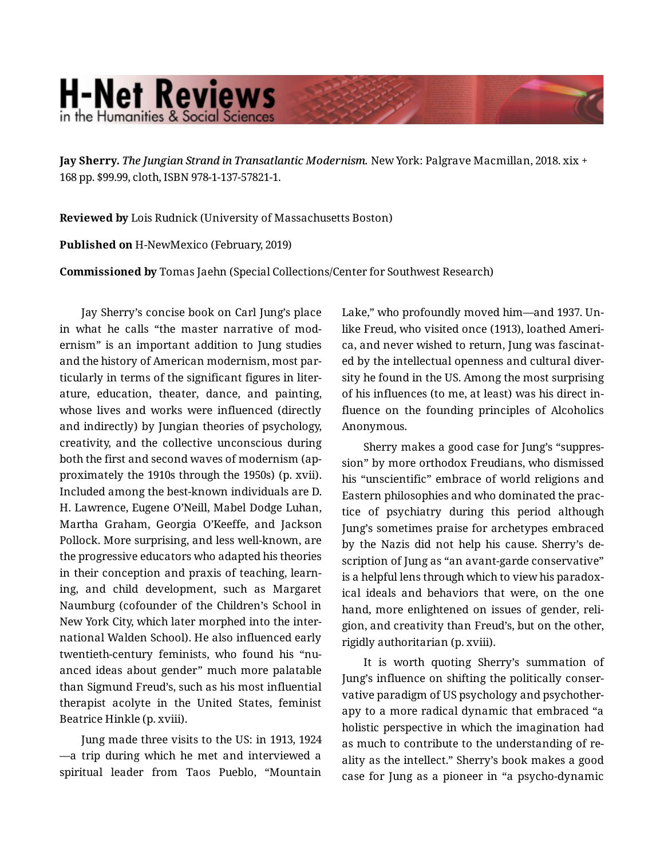## **H-Net Reviews** in the Humanities & Social Scienc

**Jay Sherry.** *The Jungian Strand in Transatlantic Modernism.* New York: Palgrave Macmillan, 2018. xix + 168 pp. \$99.99, cloth, ISBN 978-1-137-57821-1.

**Reviewed by** Lois Rudnick (University of Massachusetts Boston)

**Published on** H-NewMexico (February, 2019)

**Commissioned by** Tomas Jaehn (Special Collections/Center for Southwest Research)

Jay Sherry's concise book on Carl Jung's place in what he calls "the master narrative of mod‐ ernism" is an important addition to Jung studies and the history of American modernism, most par‐ ticularly in terms of the significant figures in liter‐ ature, education, theater, dance, and painting, whose lives and works were influenced (directly and indirectly) by Jungian theories of psychology, creativity, and the collective unconscious during both the first and second waves of modernism (ap‐ proximately the 1910s through the 1950s) (p. xvii). Included among the best-known individuals are D. H. Lawrence, Eugene O'Neill, Mabel Dodge Luhan, Martha Graham, Georgia O'Keeffe, and Jackson Pollock. More surprising, and less well-known, are the progressive educators who adapted his theories in their conception and praxis of teaching, learn‐ ing, and child development, such as Margaret Naumburg (cofounder of the Children's School in New York City, which later morphed into the inter‐ national Walden School). He also influenced early twentieth-century feminists, who found his "nu‐ anced ideas about gender" much more palatable than Sigmund Freud's, such as his most influential therapist acolyte in the United States, feminist Beatrice Hinkle (p. xviii).

Jung made three visits to the US: in 1913, 1924 —a trip during which he met and interviewed a spiritual leader from Taos Pueblo, "Mountain Lake," who profoundly moved him—and 1937. Un‐ like Freud, who visited once (1913), loathed Ameri‐ ca, and never wished to return, Jung was fascinat‐ ed by the intellectual openness and cultural diver‐ sity he found in the US. Among the most surprising of his influences (to me, at least) was his direct in‐ fluence on the founding principles of Alcoholics Anonymous.

Sherry makes a good case for Jung's "suppres‐ sion" by more orthodox Freudians, who dismissed his "unscientific" embrace of world religions and Eastern philosophies and who dominated the prac‐ tice of psychiatry during this period although Jung's sometimes praise for archetypes embraced by the Nazis did not help his cause. Sherry's de‐ scription of Jung as "an avant-garde conservative" is a helpful lens through which to view his paradox‐ ical ideals and behaviors that were, on the one hand, more enlightened on issues of gender, religion, and creativity than Freud's, but on the other, rigidly authoritarian (p. xviii).

It is worth quoting Sherry's summation of Jung's influence on shifting the politically conser‐ vative paradigm of US psychology and psychother‐ apy to a more radical dynamic that embraced "a holistic perspective in which the imagination had as much to contribute to the understanding of re‐ ality as the intellect." Sherry's book makes a good case for Jung as a pioneer in "a psycho-dynamic